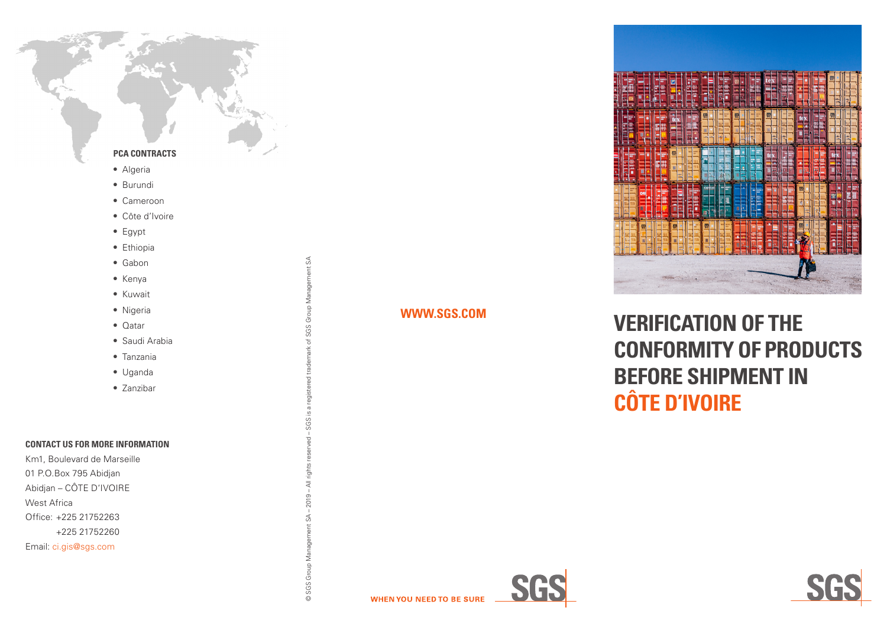#### **PCA CONTRACTS**

- **•** Algeria
- **•** Burundi
- **•** Cameroon
- **•** Côte d'Ivoire
- **•** Egypt
- **•** Ethiopia
- **•** Gabon
- **•** Kenya
- **•** Kuwait
- **•** Nigeria
- **•** Qatar
- **•** Saudi Arabia
- **•** Tanzania
- **•** Uganda
- **•** Zanzibar

#### **CONTACT US FOR MORE INFORMATION**

Km1, Boulevard de Marseille 01 P.O.Box 795 Abidjan Abidjan – CÔTE D'IVOIRE West Africa Office: +225 21752263 +225 21752260 Email: [ci.gis@sgs.com](mailto:ci.gis%40sgs.com?subject=)



# **[WWW.SGS.COM](http://WWW.SGS.COM) VERIFICATION OF THE CONFORMITY OF PRODUCTS BEFORE SHIPMENT IN CÔTE D'IVOIRE**







© SGS Group Management SA – 2019 – All rights reserved – SGS is a registered trademark of SGS Group Management SA

- All rights

 $2019$  $\mathbb S$ Ξ

© SGS Group Managem

 $\sigma$ <u>v</u> SGS F

of SGS Group Management SA

ť

egistered trade